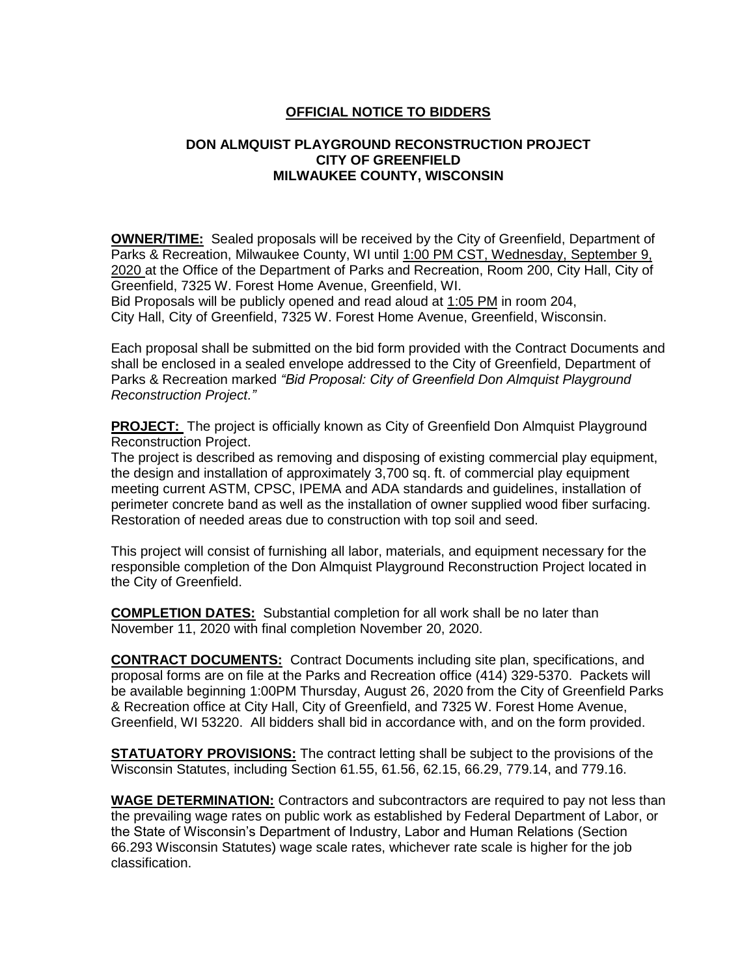## **OFFICIAL NOTICE TO BIDDERS**

## **DON ALMQUIST PLAYGROUND RECONSTRUCTION PROJECT CITY OF GREENFIELD MILWAUKEE COUNTY, WISCONSIN**

**OWNER/TIME:** Sealed proposals will be received by the City of Greenfield, Department of Parks & Recreation, Milwaukee County, WI until 1:00 PM CST, Wednesday, September 9, 2020 at the Office of the Department of Parks and Recreation, Room 200, City Hall, City of Greenfield, 7325 W. Forest Home Avenue, Greenfield, WI.

Bid Proposals will be publicly opened and read aloud at 1:05 PM in room 204, City Hall, City of Greenfield, 7325 W. Forest Home Avenue, Greenfield, Wisconsin.

Each proposal shall be submitted on the bid form provided with the Contract Documents and shall be enclosed in a sealed envelope addressed to the City of Greenfield, Department of Parks & Recreation marked *"Bid Proposal: City of Greenfield Don Almquist Playground Reconstruction Project."*

**PROJECT:** The project is officially known as City of Greenfield Don Almquist Playground Reconstruction Project.

The project is described as removing and disposing of existing commercial play equipment, the design and installation of approximately 3,700 sq. ft. of commercial play equipment meeting current ASTM, CPSC, IPEMA and ADA standards and guidelines, installation of perimeter concrete band as well as the installation of owner supplied wood fiber surfacing. Restoration of needed areas due to construction with top soil and seed.

This project will consist of furnishing all labor, materials, and equipment necessary for the responsible completion of the Don Almquist Playground Reconstruction Project located in the City of Greenfield.

**COMPLETION DATES:** Substantial completion for all work shall be no later than November 11, 2020 with final completion November 20, 2020.

**CONTRACT DOCUMENTS:** Contract Documents including site plan, specifications, and proposal forms are on file at the Parks and Recreation office (414) 329-5370. Packets will be available beginning 1:00PM Thursday, August 26, 2020 from the City of Greenfield Parks & Recreation office at City Hall, City of Greenfield, and 7325 W. Forest Home Avenue, Greenfield, WI 53220. All bidders shall bid in accordance with, and on the form provided.

**STATUATORY PROVISIONS:** The contract letting shall be subject to the provisions of the Wisconsin Statutes, including Section 61.55, 61.56, 62.15, 66.29, 779.14, and 779.16.

**WAGE DETERMINATION:** Contractors and subcontractors are required to pay not less than the prevailing wage rates on public work as established by Federal Department of Labor, or the State of Wisconsin's Department of Industry, Labor and Human Relations (Section 66.293 Wisconsin Statutes) wage scale rates, whichever rate scale is higher for the job classification.